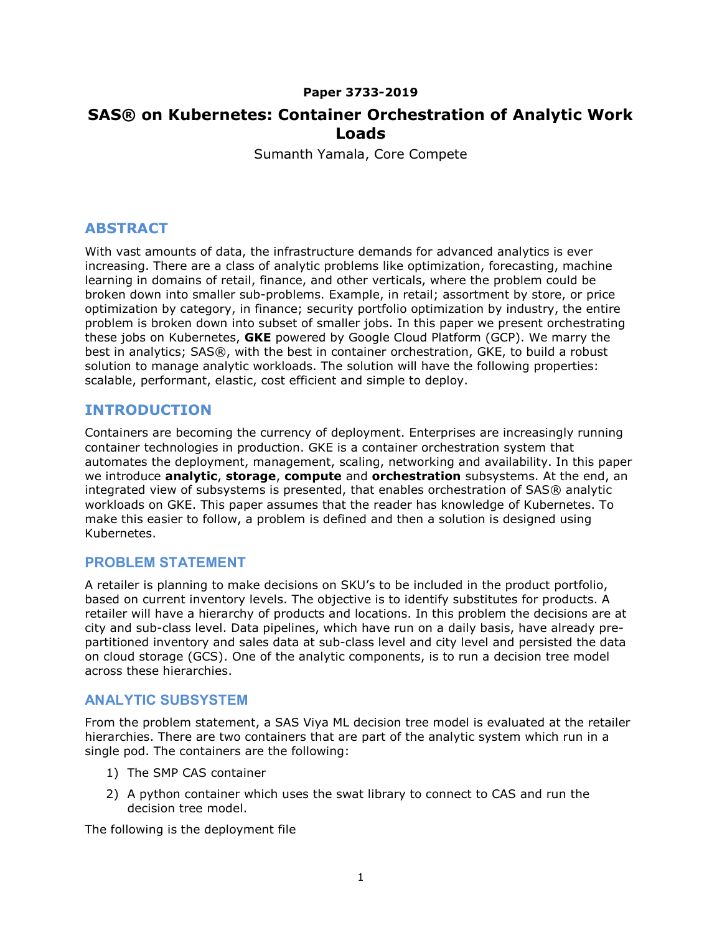### Paper 3733-2019

# SAS® on Kubernetes: Container Orchestration of Analytic Work Loads

Sumanth Yamala, Core Compete

## ABSTRACT

With vast amounts of data, the infrastructure demands for advanced analytics is ever increasing. There are a class of analytic problems like optimization, forecasting, machine learning in domains of retail, finance, and other verticals, where the problem could be broken down into smaller sub-problems. Example, in retail; assortment by store, or price optimization by category, in finance; security portfolio optimization by industry, the entire problem is broken down into subset of smaller jobs. In this paper we present orchestrating these jobs on Kubernetes, GKE powered by Google Cloud Platform (GCP). We marry the best in analytics; SAS®, with the best in container orchestration, GKE, to build a robust solution to manage analytic workloads. The solution will have the following properties: scalable, performant, elastic, cost efficient and simple to deploy.

## INTRODUCTION

Containers are becoming the currency of deployment. Enterprises are increasingly running container technologies in production. GKE is a container orchestration system that automates the deployment, management, scaling, networking and availability. In this paper we introduce **analytic, storage, compute** and **orchestration** subsystems. At the end, an integrated view of subsystems is presented, that enables orchestration of SAS® analytic workloads on GKE. This paper assumes that the reader has knowledge of Kubernetes. To make this easier to follow, a problem is defined and then a solution is designed using Kubernetes.

### PROBLEM STATEMENT

A retailer is planning to make decisions on SKU's to be included in the product portfolio, based on current inventory levels. The objective is to identify substitutes for products. A retailer will have a hierarchy of products and locations. In this problem the decisions are at city and sub-class level. Data pipelines, which have run on a daily basis, have already prepartitioned inventory and sales data at sub-class level and city level and persisted the data on cloud storage (GCS). One of the analytic components, is to run a decision tree model across these hierarchies.

### ANALYTIC SUBSYSTEM

From the problem statement, a SAS Viya ML decision tree model is evaluated at the retailer hierarchies. There are two containers that are part of the analytic system which run in a single pod. The containers are the following:

- 1) The SMP CAS container
- 2) A python container which uses the swat library to connect to CAS and run the decision tree model.

The following is the deployment file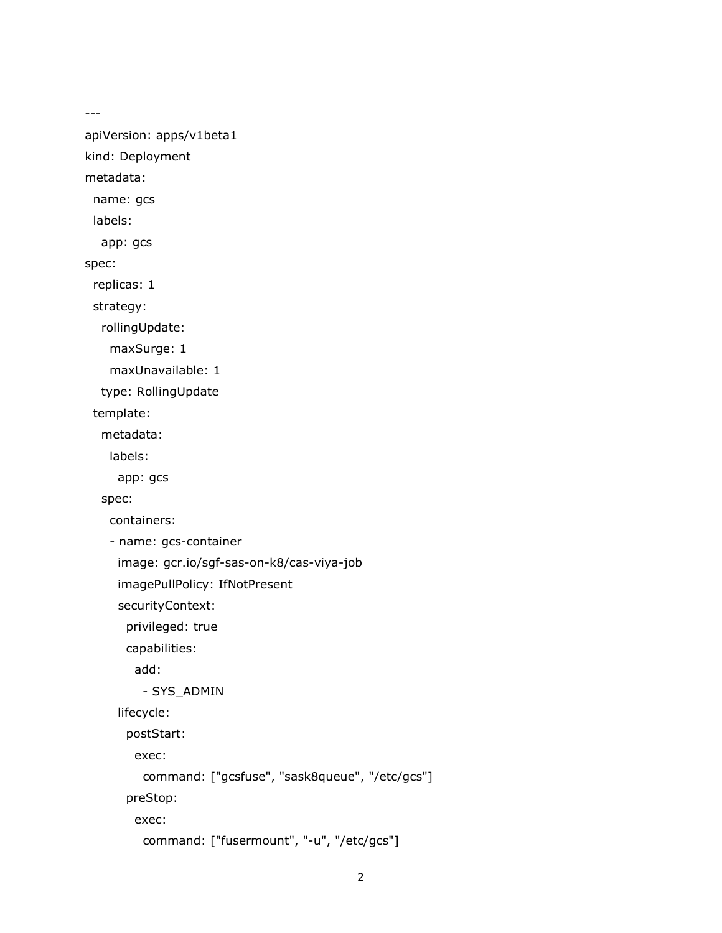---

apiVersion: apps/v1beta1

kind: Deployment

metadata:

name: gcs

labels:

app: gcs

spec:

replicas: 1

strategy:

rollingUpdate:

maxSurge: 1

maxUnavailable: 1

type: RollingUpdate

template:

metadata:

labels:

app: gcs

spec:

containers:

- name: gcs-container

image: gcr.io/sgf-sas-on-k8/cas-viya-job

imagePullPolicy: IfNotPresent

securityContext:

privileged: true

capabilities:

add:

- SYS\_ADMIN

lifecycle:

postStart:

exec:

command: ["gcsfuse", "sask8queue", "/etc/gcs"]

preStop:

exec:

```
 command: ["fusermount", "-u", "/etc/gcs"]
```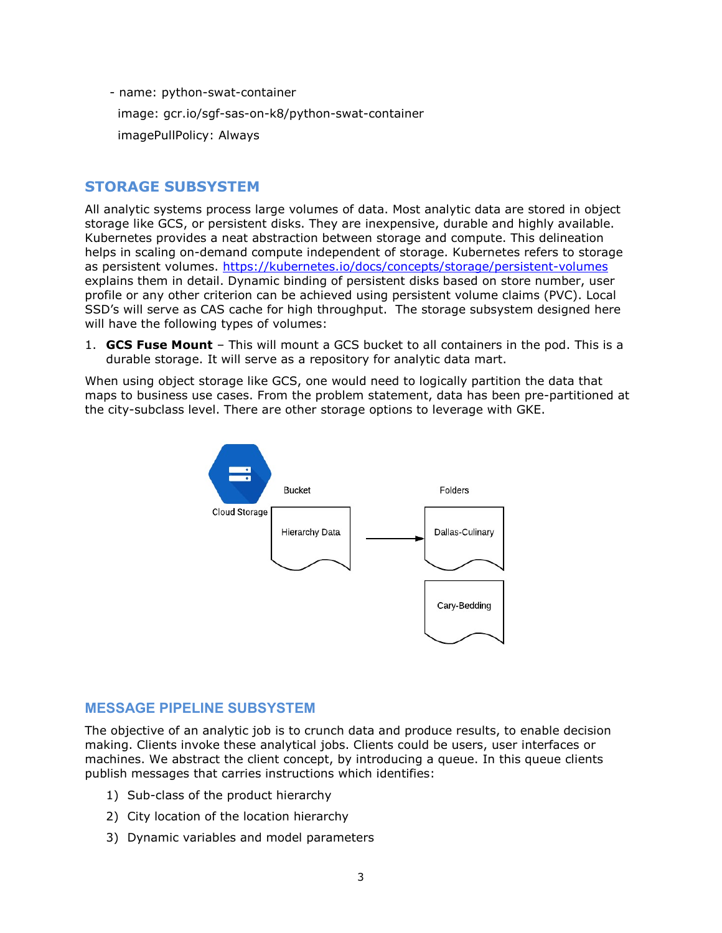- name: python-swat-container

image: gcr.io/sgf-sas-on-k8/python-swat-container

imagePullPolicy: Always

## STORAGE SUBSYSTEM

All analytic systems process large volumes of data. Most analytic data are stored in object storage like GCS, or persistent disks. They are inexpensive, durable and highly available. Kubernetes provides a neat abstraction between storage and compute. This delineation helps in scaling on-demand compute independent of storage. Kubernetes refers to storage as persistent volumes. https://kubernetes.io/docs/concepts/storage/persistent-volumes explains them in detail. Dynamic binding of persistent disks based on store number, user profile or any other criterion can be achieved using persistent volume claims (PVC). Local SSD's will serve as CAS cache for high throughput. The storage subsystem designed here will have the following types of volumes:

1. **GCS Fuse Mount** – This will mount a GCS bucket to all containers in the pod. This is a durable storage. It will serve as a repository for analytic data mart.

When using object storage like GCS, one would need to logically partition the data that maps to business use cases. From the problem statement, data has been pre-partitioned at the city-subclass level. There are other storage options to leverage with GKE.



### MESSAGE PIPELINE SUBSYSTEM

The objective of an analytic job is to crunch data and produce results, to enable decision making. Clients invoke these analytical jobs. Clients could be users, user interfaces or machines. We abstract the client concept, by introducing a queue. In this queue clients publish messages that carries instructions which identifies:

- 1) Sub-class of the product hierarchy
- 2) City location of the location hierarchy
- 3) Dynamic variables and model parameters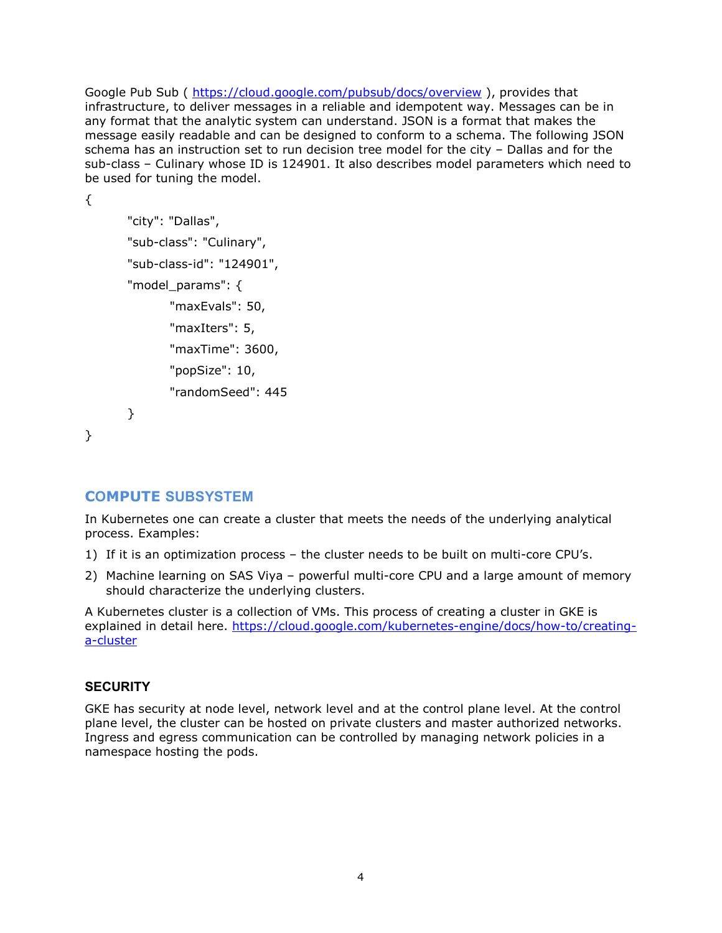Google Pub Sub ( https://cloud.google.com/pubsub/docs/overview ), provides that infrastructure, to deliver messages in a reliable and idempotent way. Messages can be in any format that the analytic system can understand. JSON is a format that makes the message easily readable and can be designed to conform to a schema. The following JSON schema has an instruction set to run decision tree model for the city – Dallas and for the sub-class – Culinary whose ID is 124901. It also describes model parameters which need to be used for tuning the model.

```
 "city": "Dallas", 
"sub-class": "Culinary", 
"sub-class-id": "124901", 
"model_params": { 
       "maxEvals": 50, 
        "maxIters": 5, 
        "maxTime": 3600, 
        "popSize": 10, 
        "randomSeed": 445 
}
```

```
}
```
{

### COMPUTE SUBSYSTEM

In Kubernetes one can create a cluster that meets the needs of the underlying analytical process. Examples:

- 1) If it is an optimization process the cluster needs to be built on multi-core CPU's.
- 2) Machine learning on SAS Viya powerful multi-core CPU and a large amount of memory should characterize the underlying clusters.

A Kubernetes cluster is a collection of VMs. This process of creating a cluster in GKE is explained in detail here. https://cloud.google.com/kubernetes-engine/docs/how-to/creatinga-cluster

#### **SECURITY**

GKE has security at node level, network level and at the control plane level. At the control plane level, the cluster can be hosted on private clusters and master authorized networks. Ingress and egress communication can be controlled by managing network policies in a namespace hosting the pods.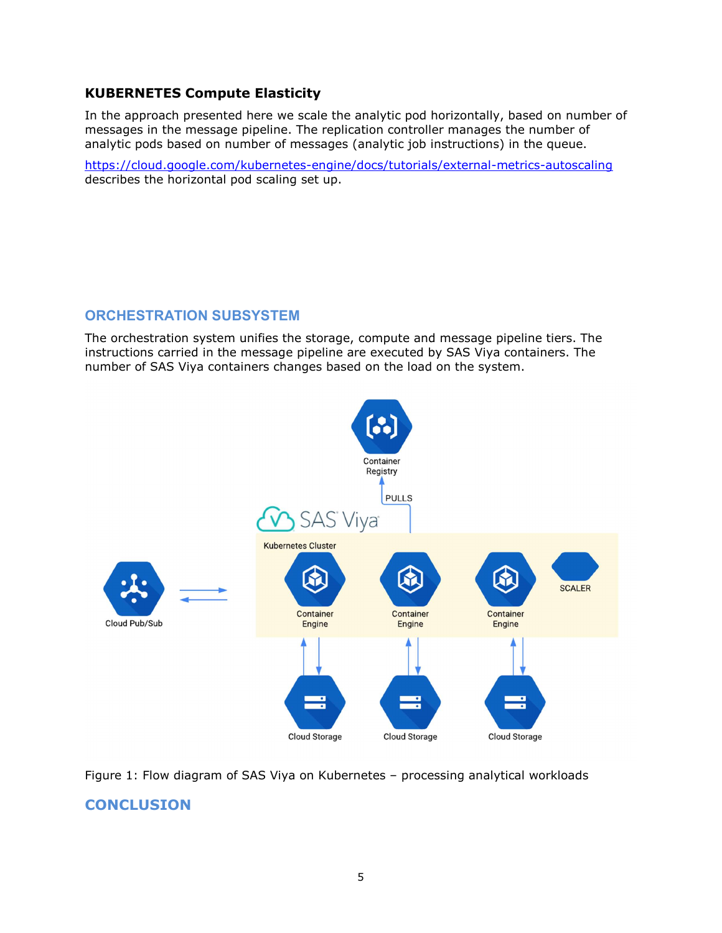## KUBERNETES Compute Elasticity

In the approach presented here we scale the analytic pod horizontally, based on number of messages in the message pipeline. The replication controller manages the number of analytic pods based on number of messages (analytic job instructions) in the queue.

https://cloud.google.com/kubernetes-engine/docs/tutorials/external-metrics-autoscaling describes the horizontal pod scaling set up.

## ORCHESTRATION SUBSYSTEM

The orchestration system unifies the storage, compute and message pipeline tiers. The instructions carried in the message pipeline are executed by SAS Viya containers. The number of SAS Viya containers changes based on the load on the system.



Figure 1: Flow diagram of SAS Viya on Kubernetes – processing analytical workloads

## **CONCLUSION**